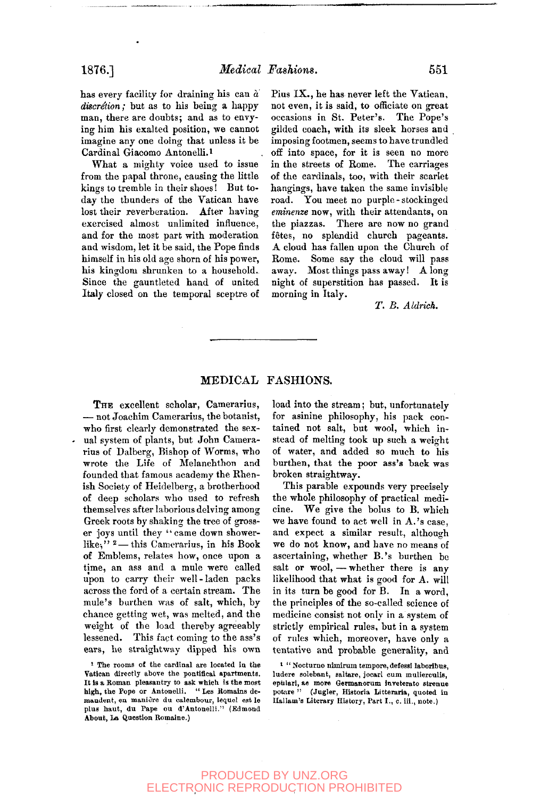has every facility for draining his can *a discretion;* but as to his being a happy man, there are doubts; and as to envying him his exalted position, we cannot imagine any one doing that unless it be Cardinal Giacomo Antonelli.<sup>1</sup>

What a mighty voice used to issue from the papal throne, causing the little kings to tremble in their shoes! But today the thunders of the Vatican have lost their reverberation. After having exercised almost unlimited influence, and for the most part with moderation and wisdom, let it be said, the Pope finds himself in his old age shorn of his power, his kingdom shrunken to a household. Since the gauntleted hand of united Italy closed on the temporal sceptre of

### Pius IX., he has never left the Vatican, not even, it is said, to officiate on great occasions in St. Peter's. The Pope's gilded coach, with its sleek horses and imposing footmen, seems to have trundled off into space, for it is seen no more in the streets of Rome. The carriages of the cardinals, too, with their scarlet hangings, have taken the same invisible road. You meet no purple - stockinged *eminenze* now, with their attendants, on the piazzas. There are now no grand fetes, no splendid church pageants. A cloud has fallen upon the Church of Rome. Some say the cloud will pass away. Most things pass away! Along night of superstition has passed. It is morning in Italy.

*T. B. Aldrich.* 

#### MEDICAL FASHIONS.

THE excellent scholar, Camerarius, — not Joachim Camerarius, the botanist, who first clearly demonstrated the sexual system of plants, but John Camerarius of Dalberg, Bishop of Worms, who wrote the Life of Melanchthon and founded that famous academy the Rhenish Society of Heidelberg, a brotherhood of deep scholars who used to refresh themselves after laborious delving among Greek roots by shaking the tree of grosser joys until they "came down showerlike,"  $2$  — this Camerarius, in his Book of Emblems, relates how, once upon a time, an ass and a mule were called upon to carry their well-laden packs across the ford of a certain stream. The mule's burthen was of salt, which, by chance getting wet, was melted, and the weight of the load thereby agreeably lessened. This fact coming to the ass's ears, he straightway dipped his own

I The rooms of the cardinal are located ia the Vatican directly above the pontifical apartments. It is a Roman pleasantry to ask which is the most<br>high, the Pope or Antonelli. "Les Romains demandent, ea maniere du calembour, lequci est le plus haut, du Pape ou d'Antonelli." (Edmond About, La Question Romaine.)

load into the stream; but, unfortunately for asinine philosophy, his pack contained not salt, but wool, which instead of melting took up such a weight of water, and added so much to his burthen, that the poor ass's back was broken straightway.

This parable expounds very precisely the whole philosophy of practical medicine. We give the bolus to B. which we have found to act well in A.'s case, and expect a similar result, although we do not know, and have no means of ascertaining, whether B.'s burthen be salt or wool, — whether there is any likelihood that what is good for A. will in its turn be good for B. In a word, the principles of the so-called science of medicine consist not only in a system of strictly empirical rules, but in a system of rules which, moreover, have only a tentative and probable generality, and

<sup>1 &</sup>quot; Nocturno nimirum tempore, defessi laboribus, ludere solebant, saltare, jocarl cum mulierculis, epiilari, ae more Germanorum inveterate strenue potare " (Jugler, Historia Litteraria, quoted in Ilallam's Literary History, Part I., c. iii., note.)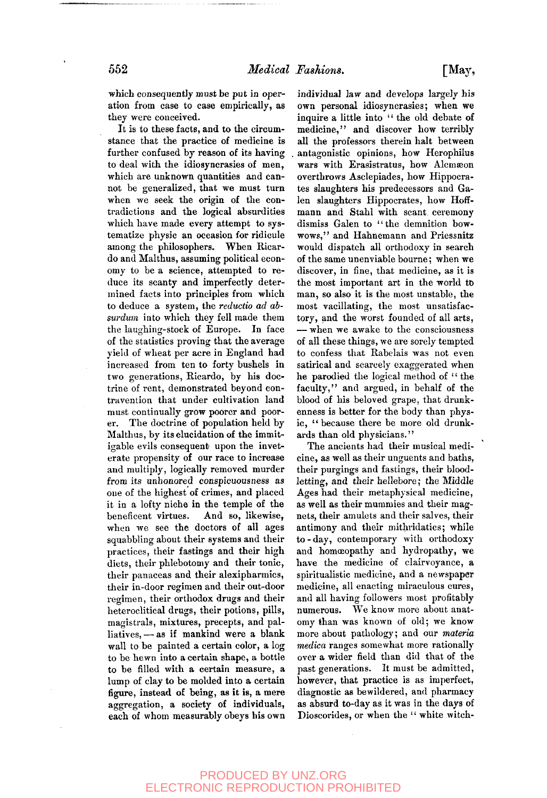which consequently must be put in operation from case to case empirically, as they were conceived.

It is to these facts, and to the circumstance that the practice of medicine is further confused by reason of its having to deal with the idiosyncrasies of men, which are unknown quantities and cannot be generalized, that we must turn when we seek the origin of the contradictions and the logical absurdities which have made every attempt to systematize physic an occasion for ridicule among the philosophers. When Ricardo and Malthus, assuming political economy to be a science, attempted to reduce its scanty and imperfectly determined facts into principles from which to deduce a system, the *reductio ad absurdum* into which they fell made them the laughing-stock of Europe. In face of the statistics proving that the average yield of wheat per acre in England had increased from ten to forty bushels in two generations, Ricardo, by his doctrine of rent, demonstrated beyond contravention that under cultivation land must continually grow poorer and poorer. The doctrine of population held by Malthus, by its elucidation of the immitigable evils consequent upon the inveterate propensity of our race to increase and multiply, logically removed murder from its unhonored conspicuousness as one of the highest of crimes, and placed it in a lofty niche in the temple of the beneficent virtues. And so, likewise, beneficent virtues. And so, likewise,<br>when we see the doctors of all ages squabbling about their systems and their practices, their fastings and their high practices, their rassings and their ingurtheir phicocomy and their tome, their panaceas and their alexipharmics,<br>their in-door regimen and their out-door regiment and their out-door heteroelitical drugs and their heteroclitical drugs, their potions, pills, magistrals, mixtures, precepts, and palliatives,  $-$  as if mankind were a blank wall to be painted a certain color, a log to be hewn into a certain shape, a bottle to be filled with a certain measure, a lump of clay to be molded into a certain figure, instead of being, as it is, a mere aggregation, a society of individuals,<br>each of whom measurably obeys his own

individual law and develops largely his own personal idiosyncrasies; when we inquire a little into " the old debate of medicine," and discover how terribly all the professors therein halt between . antagonistic opinions, how Herophilus wars with Erasistratus, how Alcmæon overthrows Asclepiades, how Hippocrates slaughters his predecessors and Galen slaughters Hippocrates, how Hoffmann and Stahl with scant ceremony dismiss Galen to "the demnition bowwows," and Hahnemann and Priessnitz would dispatch all orthodoxy in search of the same unenviable bourne; when we discover, in fine, that medicine, as it is the most important art in the world to man, so also it is the most unstable, the most vacillating, the most unsatisfactory, and the worst founded of all arts, — when we awake to the consciousness of all these things, we are sorely tempted to confess that Rabelais was not even satirical and scarcely exaggerated when he parodied the logical method of " the faculty," and argued, in behalf of the blood of his beloved grape, that drunkenness is better for the body than physic, " because there be more old drunkards than old physicians."

The ancients had their musical medicine, as well as their unguents and baths, their purgings and fastings, their bloodletting, and their hellebore; the Middle Ages had their metaphysical medicine, as well as their mummies and their magnets, their amulets and their salves, their antimony and their mithridatics; while to - day, contemporary with orthodoxy and homoeopathy and hydropathy, we have the medicine of clairvoyance, a spiritualistic medicine, and a newspaper medicine, all enacting miraculous cures, and all having followers most profitably numerous. We know more about anatomy than was known of old; we know more about pathology; and our *materia medica* ranges somewhat more rationally over a wider field than did that of the past generations. It must be admitted, however, that practice is as imperfect, diagnostic as bewildered, and pharmacy as absurd to-day as it was in the days of Dioscorides, or when the " white witch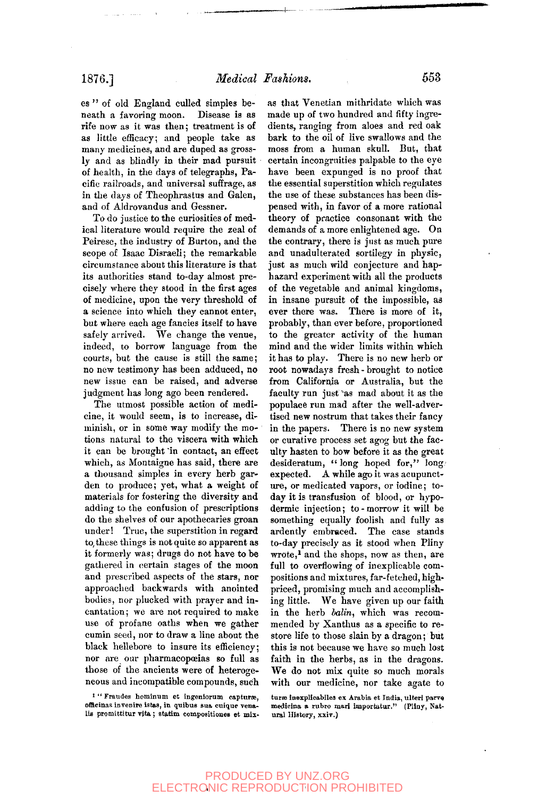es " of old England culled simples beneath a favoring moon. Disease is as rife now as it was then; treatment is of as little efficacy; and people take as many medicines, and are duped as grossly and as blindly in their mad pursuit of health, in the days of telegraphs, Pacific railroads, and universal suffrage, as in the days of Theophrastus and Galen, and of Aldrovandus and Gessner.

To do justice to the curiosities of medical literature would require the zeal of Peiresc, the industry of Burton, and the scope of Isaac Disraeli; the remarkable circumstance about this literature is that its authorities stand to-day almost precisely where they stood in the first ages of medicine, upon the very threshold of a science into which they cannot enter, but where each age fancies itself to have safely arrived. We change the venue, indeed, to borrow language from the courts, but the cause is still the same; no new testimony has been adduced, no new issue can be raised, and adverse judgment has long ago been rendered.

The utmost possible action of medicine, it would seem, is to increase, diminish, or in some way modify the motions natural to the viscera with which it can be brought 'in contact, an effect which, as Montaigne has said, there are a thousand simples in every herb garden to produce; yet, what a weight of materials for fostering the diversity and adding to the confusion of prescriptions do the shelves of our apothecaries groan under! True, the superstition in regard to, these things is not quite so apparent as it formerly was; drugs do not have to be gathered in certain stages of the moon and prescribed aspects of the stars, nor approached backwards with anointed bodies, nor plucked with prayer and incantation; we are not required to make use of profane oaths when we gather cumin seed, nor to draw a line about the black hellebore to insure its efficiency; nor are our pharmacopoeias so full as those of the ancients were of heterogeneous and incompatible compounds, such

as that Venetian mithridate which was made up of two hundred and fifty ingredients, ranging from aloes and red oak bark to the oil of live swallows and the moss from a human skull. But, that certain incongruities palpable to the eye have been expunged is no proof that the essential superstition which regulates the use of these substances has been dispensed with, in favor of a more rational theory of practice consonant with the demands of a more enlightened age. On the contrary, there is just as much pure and unadulterated sortilegy in physic, just as much wild conjecture and haphazard experiment with all the products of the vegetable and animal kingdoms, in insane pursuit of the impossible, as ever there was. There is more of it, probably, than ever before, proportioned to the greater activity of the human mind and the wider limits within which it has to play. There is no new herb or root nowadays fresh - brought to notice from California or Australia, but the faculty run just^as mad about it as the populace run mad after the well-adverpopulate run mad and the weir-adverin the papers of the papers. The papers of the papers of the papers of the papers. The papers of the papers of the papers of the papers of the papers of the papers of the papers of the papers of the papers of the papers of in the papers. There is no new system ur curative process set agog but the faculty hasten to bow before it as the great desideratum, "long hoped for," long. expected. A while ago it was acupuncture, or medicated vapors, or iodine; today it is transfusion of blood, or hypodermic injection; to-morrow it will be something equally foolish and fully as ardently embraced. The case stands to-day precisely as it stood when Pliny wrote,<sup>1</sup> and the shops, now as then, are full to overflowing of inexplicable compositions and mixtures, far-fetched, highpriced, promising much and accomplishing little. We have given up our faith in the herb balin, which was recommended by Xanthus as a specific to restore life to those slain by a dragon; but this is not because we have so much lost faith in the herbs, as in the dragons. We do not mix quite so much morals with our medicine, nor take agate to

turæ inexplicabiles ex Arabia et India, ulteri parve medicina a rubro mari importatur." (Pliny, Natural History, xxiv.)

<sup>&</sup>lt;sup>1</sup> " Fraudes hominum et ingeniorum capturæ, officinas invenire istas, in quibus sua cuique venalis promittitur vita; statim compositiones et mix-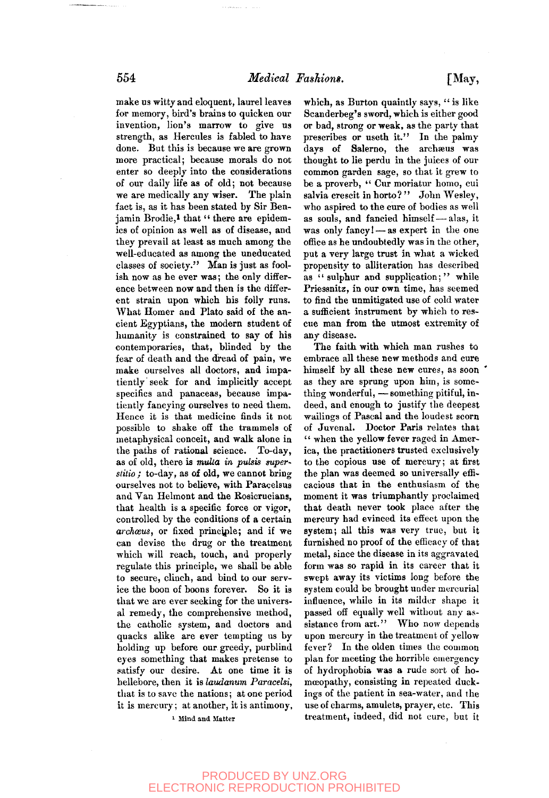make us witty and eloquent, laurel leaves for memory, bird's brains to quicken our invention, lion's marrow to give us strength, as Hercules is fabled to have done. But this is because we are grown more practical; because morals do not enter so deeply into the considerations of our daily life as of old; not because we are medically any wiser. The plain fact is, as it has been stated by Sir Benjamin Brodie,<sup>1</sup> that " there are epidemics of opinion as well as of disease, and they prevail at least as much among the well-educated as among the uneducated classes of society." Man is just as foolish now as he ever was; the only difference between now and then is the different strain upon which his folly runs. What Homer and Plato said of the ancient Egyptians, the modern student of humanity is constrained to say of his contemporaries, that, blinded by the fear of death and the dread of pain, we make ourselves all doctors, and impatiently seek for and implicitly accept specifics and panaceas, because impatiently fancying ourselves to need them. Hence it is that medicine finds it not possible to shake off the trammels of metaphysical conceit, and walk alone in the paths of rational science. To-day, as of old, there is *multa* in *pulsis superslilio ;* to-day, as of old, we cannot bring ourselves not to believe, with Paracelsus and Van Helmont and the Rosicrueians, that health is a specific force or vigor, controlled by the conditions of a certain *archceus,* or fixed principle; and if we can devise the drug or the treatment can ucrise me units or me meaninch, which will reach, touch, and property regulate this principle, we shall be able ich secure, chilen, and bind to but service the boon of boons forever. So it is that we are ever seeking for the universal remedy, the comprehensive method, the catholic system, and doctors and quacks alike are ever tempting us by holding up before our greedy, purblind eyes something that makes pretense to satisfy our desire. At one time it is hellebore, then it is laudanum Paracelsi, that is to save the nations; at one period<br>it is mercury; at another, it is antimony,

<sup>1</sup> Mind and Matter

which, as Burton quaintly says, " is like Scanderbeg's sword, which is either good or bad, strong or weak, as the party that prescribes or useth it." In the palmy days of Salerno, the archaeus was thought to lie perdu in the juices of our common garden sage, so that it grew to be a proverb, " Cur moriatur homo, cui salvia crescit in horto?" John Wesley, who aspired to the cure of bodies as well as souls, and fancied himself — alas, it was only fancy! — as expert in the one office as he undoubtedly was in the other, put a very large trust in what a wicked propensity to alliteration has described as "sulphur and supplication;" while Priessnitz, in our own time, has seemed to find the unmitigated use of cold water a sufficient instrument by which to rescue man from the utmost extremity of any disease.

The faith with which man rushes to embrace all these new methods and cure himself by all these new cures, as soon as they are sprung upon him, is something wonderful, — something pitiful, indeed, and enough to justify the deepest wailings of Pascal and the loudest scorn of Juvenal. Doctor Paris relates that " when the yellow fever raged in America, the practitioners trusted exclusively to the copious use of mercury; at first the plan was deemed so universally efficacious that in the enthusiasm of the moment it was triumphantly proclaimed that death never took place after the mercury had evinced its effect upon the system; all this was very true, but it furnished no proof of the efficacy of that metal, since the disease in its aggravated form was so rapid in its career that it swept away its victims long before the system could be brought under mercurial influence, while in its milder shape it passed off equally well without any assistance from art." Who now depends upon mercury in the treatment of yellow fever? In the olden times the common plan for meeting the horrible emergency of hydrophobia was a rude sort of homoeopathy, consisting in repeated duckings of the patient in sea-water, and the use of charms, amulets, prayer, etc. This treatment, indeed, did not cure, but it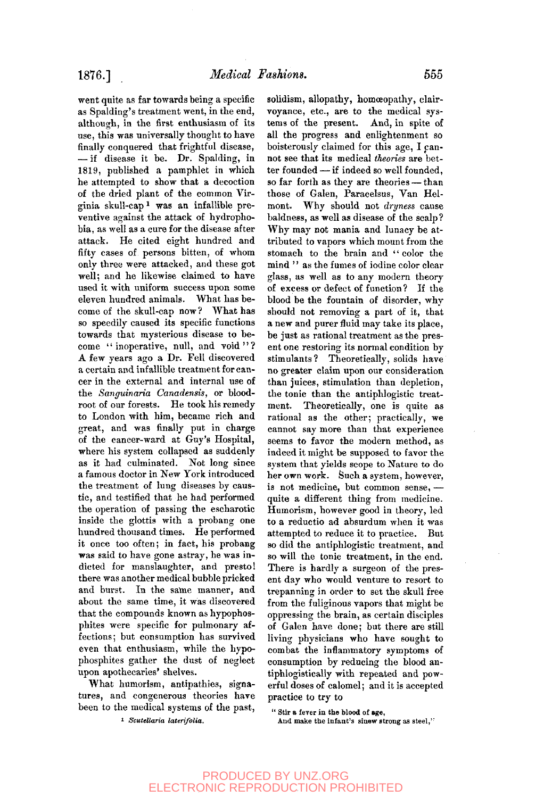went quite as far towards being a specific as Spalding's treatment went, in the end, although, in the first enthusiasm of its use, this was universally thought to have finally conquered that frightful disease, — if disease it be. Dr. Spalding, in 1819, published a pamphlet in which he attempted to show that a decoction of the dried plant of the common Virginia skull-cap 1 was an infallible preventive against the attack of hydrophobia, as well as a cure for the disease after attack. He cited eight hundred and fifty cases of persons bitten, of whom only three were attacked, and these got well; and he likewise claimed to have used it with uniform success upon some eleven hundred animals. What has become of the skull-cap now ? What has so speedily caused its specific functions towards that mysterious disease to become "inoperative, null, and void"? A few years ago a Dr. Fell discovered a certain and infallible treatment for cancer in the external and internal use of the *Sanguinaria Canadensis,* or bloodroot of our forests. He took his remedy to London with him, became rich and great, and was finally put in charge of the cancer-ward at Guy's Hospital, where his system collapsed as suddenly as it had culminated. Not long since a famous doctor in New York introduced the treatment of lung diseases by caustic, and testified that he had performed the operation of passing the escharotic inside the glottis with a probang one hundred thousand times. He performed it once too often; in fact, his probang  $w_0$  wo often, in-fact, his probang was said to have gone astray, he was inthere was another medical bubble pressure  $\frac{1}{2}$  by  $\frac{1}{2}$  and  $\frac{1}{2}$  subsets burster manner, and  $\frac{1}{2}$ about burst. In the same manner, and about the same thine, it was discovered that the compounds known as hypophosphites were specific for pulmonary affections; but consumption has survived even that enthusiasm, while the hypophosphites gather the dust of neglect upon apothecaries' shelves.

What humorism, antipathies, signatures, and congenerous theories have been to the medical systems of the past,

1 *Scutellaria laterifolia.* 

solidism, allopathy, homoeopathy, clairvoyance, etc., are to the medical systems of the present. And, in spite of all the progress and enlightenment so boisterously claimed for this age, I cannot see that its medical *theories* are better founded — if indeed so well founded, so far forth as they are theories — than those of Galen, Paracelsus, Van Helmont. Why should not *dryness* cause baldness, as well as disease of the scalp? Why may not mania and lunacy be attributed to vapors which mount from the stomach to the brain and "color the mind " as the fumes of iodine color clear glass, as well as to any modern theory of excess or defect of function? If the blood be the fountain of disorder, why should not removing a part of it, that a new and purer fluid may take its place, be just as rational treatment as the present one restoring its normal condition by stimulants? Theoretically, solids have no greater claim upon our consideration than juices, stimulation than depletion, than jures, summation than depletion, me to the than the antiprogram treatment. Theoretically, one is quite as rational as the other; practically, we cannot say more than that experience seems to favor the modern method, as indeed it might be supposed to favor the system that yields scope to Nature to do her own work. Such a system, however, is not medicine, but common sense,  $$ quite a different thing from medicine. Humorism, however good in theory, led to a reductio ad absurdum when it was attempted to reduce it to practice. But so did the antiphlogistic treatment, and so will the tonic treatment, in the end. There is hardly a surgeon of the present day who would venture to resort to trepanning in order to set the skull free from the fuliginous vapors that might be oppressing the brain, as certain disciples of Galen have done; but there are still living physicians who have sought to combat the inflammatory symptoms of consumption by reducing the blood antiphlogistically with repeated and powerful doses of calomel; and it is accepted practice to try to

" stir a fever in **the** blood of **age,** 

And make the infant's sinew strong as steel,''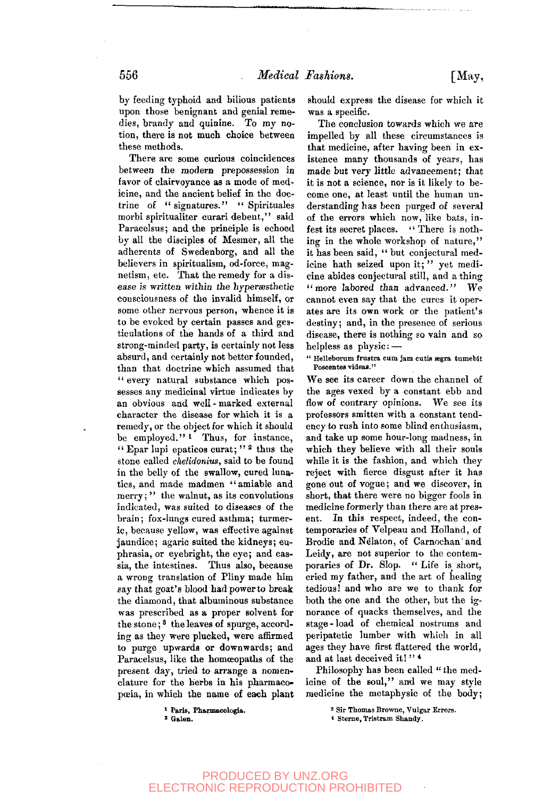There are some curious coincidences between the modern prepossession in favor of clairvoyance as a mode of medicine, and the ancient belief in the doctrine of " signatures." " Spirituales morbi spiritualiter curari debent," said Paracelsus; and the principle is echoed by all the disciples of Mesmer, all the adherents of Swedenborg, and all the believers in spiritualism, od-force, magnetism, etc. That the remedy for a disease is written within the hyperæsthetic consciousness of the invalid himself, or some other nervous person, whence it is to be evoked by certain passes and gesticulations of the hands of a third and strong-minded party, is certainly not less absurd, and certainly not better founded, than that doctrine which assumed that " every natural substance which possesses any medicinal virtue indicates by an obvious and well-marked external character the disease for which it is a remedy, or the object for which it should be employed."<sup>1</sup> Thus, for instance, " Epar lupi epaticos curat; " <sup>2</sup> thus the stone called *ckelidonius,* said to be found in the belly of the swallow, cured lunatics, and made madmen "amiable and merry;" the walnut, as its convolutions indicated, was suited to diseases of the brain; fox-lungs cured asthma; turmeric, because yellow, was effective against jaundice; agaric suited the kidneys; euphrasia, or eyebright, the eye; and cassia, the intestines. Thus also, because a wrong translation of Pliny made him say that goat's blood had power to break the diamond, that albuminous substance was prescribed as a proper solvent for the stone;<sup>8</sup> the leaves of spurge, according as they were plucked, were affirmed to purge upwards or downwards; and Paracelsus, like the homoeopaths of the paraceisus, the the nonneopaths of the present day, tried to arrange a nomenclature for the herbs in his pharmaco-<br>poeia, in which the name of each plant

should express the disease for which it was a specific.

The conclusion towards which we are impelled by all these circumstances is that medicine, after having been in existence many thousands of years, has made but very little advancement; that it is not a science, nor is it likely to become one, at least until the human understanding has been purged of several of the errors which now, like bats, infest its secret places. " There is nothing in the whole workshop of nature," it has been said, " but conjectural medicine hath seized upon it;" yet medicine abides conjectural still, and a thing " more labored than advanced." We cannot even say that the cures it operates are its own work or the patient's destiny; and, in the presence of serious disease, there is nothing so vain and so helpless as physic: —

" Helleborum frustra cum jam cutis ægra tumebit Foscentes videaa."

We see its career down the channel of the ages vexed by a constant ebb and flow of contrary opinions. We see its professors smitten with a constant tendency to rush into some blind enthusiasm, and take up some hour-long madness, in which they believe with all their souls while it is the fashion, and which they reject with fierce disgust after it has gone out of vogue; and we discover, in short, that there were no bigger fools in medicine formerly than there are at present. In this respect, indeed, the contemporaries of Velpeau and Holland, of Brodie and Nélaton, of Carnochan and Leidy, are not superior to the contemporaries of Dr. Slop. "Life is short, cried my father, and the art of healing tedious! and who are we to thank for both the one and the other, but the ignorance of quacks themselves, and the stage-load of chemical nostrums and peripatetic lumber with which in all ages they have first flattered the world, and at last deceived it!"<sup>4</sup>

Philosophy has been called " the medicine of the soul," and we may style medicine the metaphysic of the body;

<sup>1</sup> Paris, Pharmacologia. *'* Galen.

3 Sir Thomas Browne, Vulgar Errors.

\* Sterne, Tristram Shandy.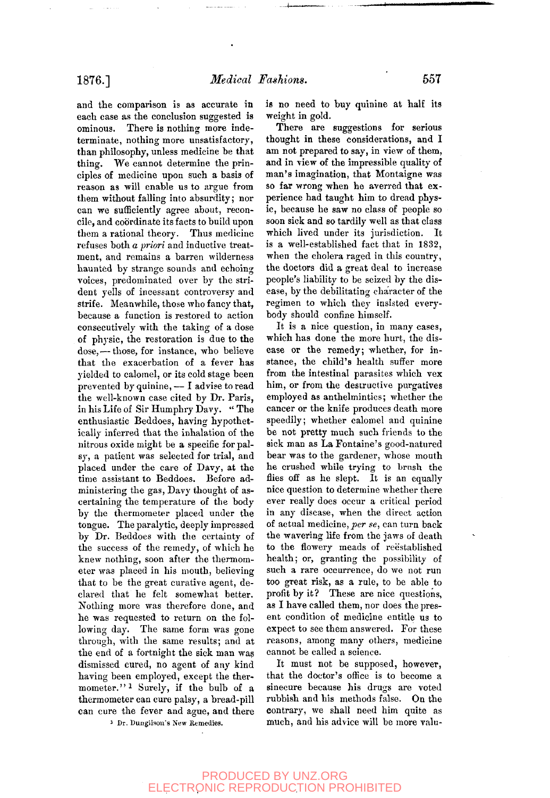and the comparison is as accurate in each case as the conclusion suggested is ominous. There is nothing more indeterminate, nothing more unsatisfactory, than philosophy, unless medicine be that thing. We cannot determine the principles of medicine upon such a basis of reason as will enable us to argue from them without falling into absurdity; nor can we sufficiently agree about, reconcile, and coordinate its facts to build upon them a rational theory. Thus medicine refuses both *a priori* and inductive treatment, and remains a barren wilderness haunted by strange sounds and echoing voices, predominated over by the strident yells of incessant controversy and strife. Meanwhile, those who fancy that, because a function is restored to action consecutively with the taking of a dose of physic, the restoration is due to the dose, — those, for instance, who believe that the exacerbation of a fever has yielded to calomel, or its cold stage been prevented by quinine,— I advise to read the well-known case cited by Dr. Paris, in his Life of Sir Humphry Davy. " The enthusiastic Beddoes, having hypothetically inferred that the inhalation of the nitrous oxide might be a specific for palsy, a patient was selected for trial, and placed under the care of Davy, at the time assistant to Beddoes. Before administering the gas, Davy thought of ascertaining the temperature of the body by the thermometer placed under the tongue. The paralytic, deeply impressed by Dr. Beddoes with the certainty of the success of the remedy, of which he knew nothing, soon after the thermometer nothing, soon arter the thermom- $\frac{1}{t}$  to be the great curative agent current current agent current agent current agent current agent current agent current agent current agent current agent current agent current agent current agent current agent curr that to be the great curative agent, de-<br>clared that he felt somewhat better.  $N$  draw he fell somewhat better. he was deference done, and he was requested to return on the following day. The same form was gone through, with the same results; and at the end of a fortnight the sick man was dismissed cured, no agent of any kind having been employed, except the thermometer."<sup>1</sup> Surely, if the bulb of a thermometer can cure palsy, a bread-pill<br>can cure the fever and ague, and there

is no need to buy quinine at half its weight in gold.

There are suggestions for serious thought in these considerations, and I am not prepared to say, in view of them, and in view of the impressible quality of man's imagination, that Montaigne was so far wrong when he averred that experience had taught him to dread physic, because he saw no class of people so soon sick and so tardily well as that class which lived under its jurisdiction. It is a well-established fact that in 1832, when the cholera raged in this country, the doctors did a great deal to increase people's liability to be seized by the disease, by the debilitating character of the regimen to which they insisted everybody should confine himself.

It is a nice question, in many cases, which has done the more hurt, the disease or the remedy; whether, for instance, the child's health suffer more from the intestinal parasites which vex him, or from the destructive purgatives employed as anthelmintics; whether the cancer or the knife produces death more speedily; whether calomel and quinine be not pretty much such friends to the sick man as La Fontaine's good-natured bear was to the gardener, whose mouth he crushed while trying to brusli the flies off as he slept. It is an equally nice question to determine whether there ever really does occur a critical period in any disease, when the direct action of actual medicine,^er *se,* can turn back the wavering life from the jaws of death to the flowery meads of reëstablished health; or, granting the possibility of such a rare occurrence, do we not run too great risk, as a rule, to be able to profit by it? These are nice questions, as I have called them, nor does the present condition of medicine entitle us to expect to see them answered. For these reasons, among many others, medicine cannot be called a science.

It must not be supposed, however, that the doctor's office is to become a sinecure because his drugs are voted rubbish and his methods false. On the contrary, we shall need him quite as much, and his advice will be more valu-

1 Dr. Dunglisou's New Remedies.